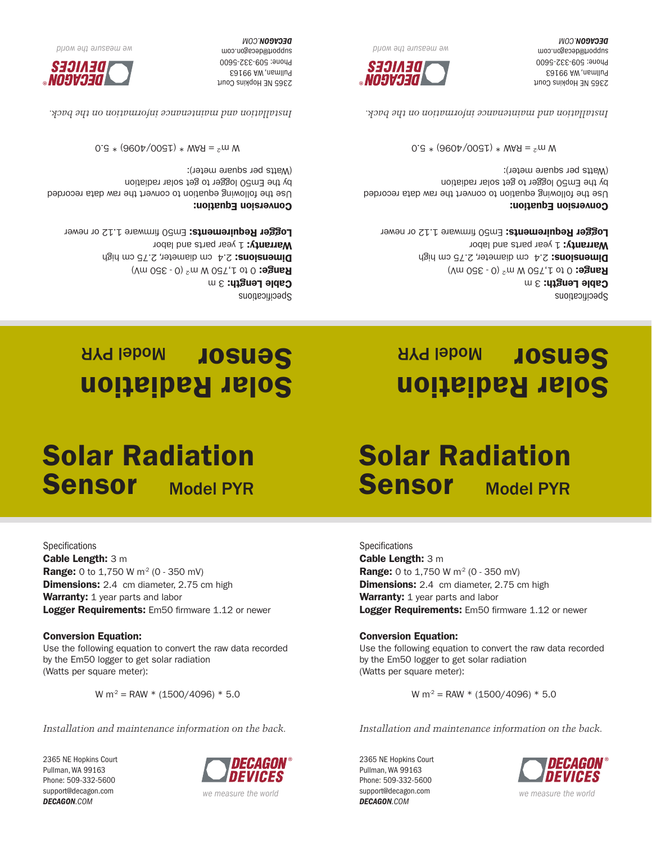2365 NE Hopkins Court Pullman, WA 99163 Phone: 509-332-5600 support@decagon.com *DECAGON.COM*

**Specifications** Cable Length: 3 m



Logger Requirements: Em50 firmware 1.12 or newer

W m<sup>2</sup> = RAW \* (1500/4096) \* 5.0

Use the following equation to convert the raw data recorded

*Installation and maintenance information on the back.*

Specifications Cable Length:  $3 m$ **Range:** 0 to 1,750 W m<sup>2</sup> (0 - 350 mV) Dimensions: 2.4 cm diameter, 2.75 cm high Warranty: 1 year parts and labor Logger Requirements: Em50 firmware 1.12 or newer

Use the following equation to convert the raw data recorded

 $0.5 * (960 \frac{1}{2} \times 0.0061) * W = 5.00$  W

*Installation and maintenance information on the back.*

 *the world re we measu*

DENICES

®

Conversion Equation:

(Watts per square meter):

2365 NE Hopkins Court Pullman, WA 99163 Phone: 509-332-5600 support@decagon.com **DECAGON.COM** 

by the Em50 logger to get solar radiation

Solar Radiation Sensor Model PYR

Specifications Cable Length:  $3 m$ **Range:** 0 to 1,750 W m<sup>2</sup> (0 - 350 mV) Dimensions: 2.4 cm diameter, 2.75 cm high

Warranty: 1 year parts and labor Logger Requirements: Em50 firmware 1.12 or newer

Conversion Equation:

Use the following equation to convert the raw data recorded by the Em50 logger to get solar radiation (Watts per square meter):

 $0.5 * (960 \frac{1}{2} \times 0.0061) * W = 5.00$  W

*Installation and maintenance information on the back.*



*DIIOM ƏYL ƏJINSEƏW ƏM* 

2365 NE Hopkins Court Pullman, WA 99163 Phone: 509-332-5600 support@decagon.com **DECAGON.COM** 

Solar Radiation Sensor Model PYR

# Solar Radiation Sensor Model PYR

**Range:** 0 to 1,750 W  $m^2$  (0 - 350 mV) **Dimensions:** 2.4 cm diameter, 2.75 cm high

by the Em50 logger to get solar radiation

Warranty: 1 year parts and labor

Conversion Equation:

(Watts per square meter):

# **Sensor** Model PYR

# Solar Radiation



*Installation and maintenance information on the back.*

W m<sup>2</sup> = RAW \* (1500/4096) \* 5.0

Conversion Equation: Use the following equation to convert the raw data recorded by the Em50 logger to get solar radiation (Watts per square meter):

**Specifications** 

2365 NE Hopkins Court Pullman, WA 99163 Phone: 509-332-5600 support@decagon.com *DECAGON.COM*

Cable Length: 3 m **Range:** 0 to 1,750 W  $m^2$  (0 - 350 mV) **Dimensions:** 2.4 cm diameter, 2.75 cm high Warranty: 1 year parts and labor Logger Requirements: Em50 firmware 1.12 or newer